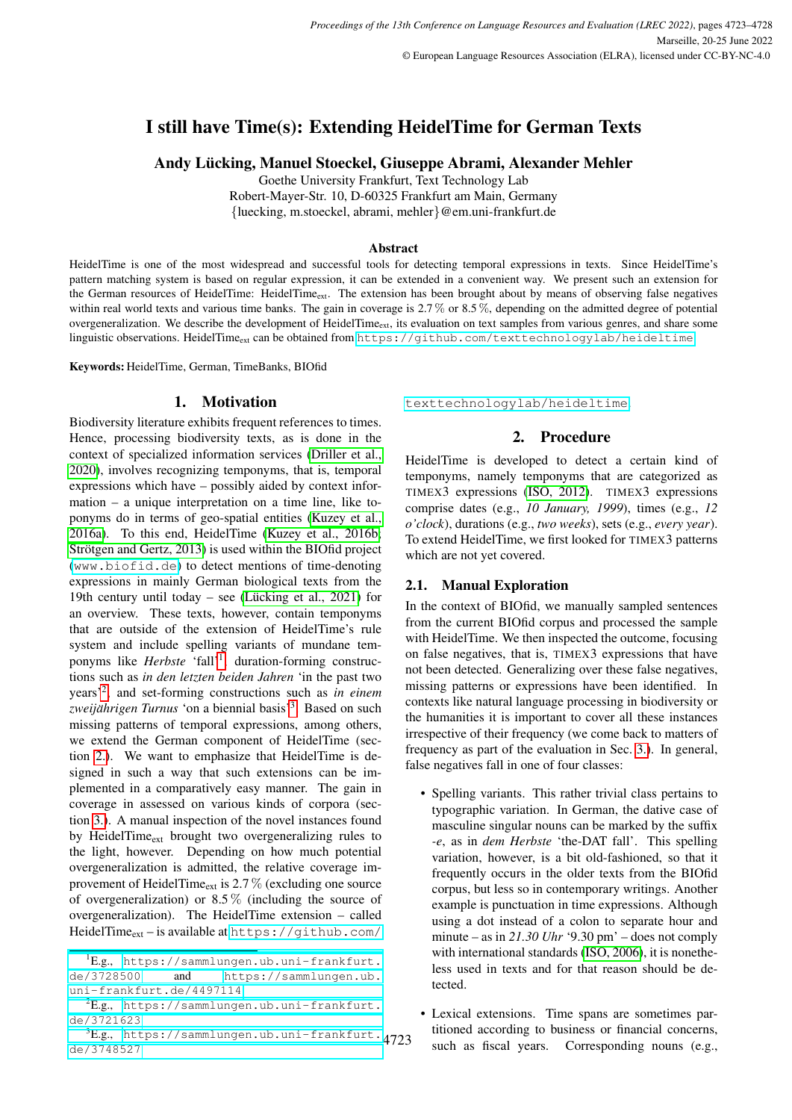# I still have Time(s): Extending HeidelTime for German Texts

Andy Lücking, Manuel Stoeckel, Giuseppe Abrami, Alexander Mehler

Goethe University Frankfurt, Text Technology Lab Robert-Mayer-Str. 10, D-60325 Frankfurt am Main, Germany {luecking, m.stoeckel, abrami, mehler}@em.uni-frankfurt.de

#### Abstract

HeidelTime is one of the most widespread and successful tools for detecting temporal expressions in texts. Since HeidelTime's pattern matching system is based on regular expression, it can be extended in a convenient way. We present such an extension for the German resources of HeidelTime: HeidelTime<sub>ext</sub>. The extension has been brought about by means of observing false negatives within real world texts and various time banks. The gain in coverage is 2.7% or 8.5%, depending on the admitted degree of potential overgeneralization. We describe the development of HeidelTime $_{ext}$ , its evaluation on text samples from various genres, and share some linguistic observations. HeidelTimeext can be obtained from <https://github.com/texttechnologylab/heideltime>.

Keywords: HeidelTime, German, TimeBanks, BIOfid

### 1. Motivation

<span id="page-0-4"></span>Biodiversity literature exhibits frequent references to times. Hence, processing biodiversity texts, as is done in the context of specialized information services [\(Driller et al.,](#page-4-0) [2020\)](#page-4-0), involves recognizing temponyms, that is, temporal expressions which have – possibly aided by context information – a unique interpretation on a time line, like toponyms do in terms of geo-spatial entities [\(Kuzey et al.,](#page-4-1) [2016a\)](#page-4-1). To this end, HeidelTime [\(Kuzey et al., 2016b;](#page-4-2) Strötgen and Gertz, 2013) is used within the BIOfid project (<www.biofid.de>) to detect mentions of time-denoting expressions in mainly German biological texts from the 19th century until today – see (Lücking et al., 2021) for an overview. These texts, however, contain temponyms that are outside of the extension of HeidelTime's rule system and include spelling variants of mundane temponyms like *Herbste* 'fall'<sup>[1](#page-0-0)</sup>, duration-forming constructions such as *in den letzten beiden Jahren* 'in the past two years'[2](#page-0-1) , and set-forming constructions such as *in einem zweijahrigen Turnus ¨* 'on a biennial basis'[3](#page-0-2) . Based on such missing patterns of temporal expressions, among others, we extend the German component of HeidelTime (section [2.\)](#page-0-3). We want to emphasize that HeidelTime is designed in such a way that such extensions can be implemented in a comparatively easy manner. The gain in coverage in assessed on various kinds of corpora (section [3.\)](#page-2-0). A manual inspection of the novel instances found by HeidelTime<sub>ext</sub> brought two overgeneralizing rules to the light, however. Depending on how much potential overgeneralization is admitted, the relative coverage improvement of HeidelTime<sub>ext</sub> is  $2.7\%$  (excluding one source of overgeneralization) or  $8.5\%$  (including the source of overgeneralization). The HeidelTime extension – called HeidelTime<sub>ext</sub> – is available at [https://github.com/](https://github.com/texttechnologylab/heideltime)

<span id="page-0-3"></span>[texttechnologylab/heideltime](https://github.com/texttechnologylab/heideltime).

### 2. Procedure

HeidelTime is developed to detect a certain kind of temponyms, namely temponyms that are categorized as TIMEX3 expressions [\(ISO, 2012\)](#page-4-5). TIMEX3 expressions comprise dates (e.g., *10 January, 1999*), times (e.g., *12 o'clock*), durations (e.g., *two weeks*), sets (e.g., *every year*). To extend HeidelTime, we first looked for TIMEX3 patterns which are not yet covered.

### <span id="page-0-5"></span>2.1. Manual Exploration

In the context of BIOfid, we manually sampled sentences from the current BIOfid corpus and processed the sample with HeidelTime. We then inspected the outcome, focusing on false negatives, that is, TIMEX3 expressions that have not been detected. Generalizing over these false negatives, missing patterns or expressions have been identified. In contexts like natural language processing in biodiversity or the humanities it is important to cover all these instances irrespective of their frequency (we come back to matters of frequency as part of the evaluation in Sec. [3.\)](#page-2-0). In general, false negatives fall in one of four classes:

- Spelling variants. This rather trivial class pertains to typographic variation. In German, the dative case of masculine singular nouns can be marked by the suffix *-e*, as in *dem Herbste* 'the-DAT fall'. This spelling variation, however, is a bit old-fashioned, so that it frequently occurs in the older texts from the BIOfid corpus, but less so in contemporary writings. Another example is punctuation in time expressions. Although using a dot instead of a colon to separate hour and minute – as in *21.30 Uhr* '9.30 pm' – does not comply with international standards [\(ISO, 2006\)](#page-4-6), it is nonetheless used in texts and for that reason should be detected.
- Lexical extensions. Time spans are sometimes partitioned according to business or financial concerns, such as fiscal years. Corresponding nouns (e.g.,

<span id="page-0-0"></span><sup>1</sup>E.g., [https://sammlungen.ub.uni-frankfurt.](https://github.com/texttechnologylab/heideltime) [de/3728500](https://sammlungen.ub.uni-frankfurt.de/3728500) and [https://sammlungen.ub.](https://github.com/texttechnologylab/heideltime) [uni-frankfurt.de/4497114](https://github.com/texttechnologylab/heideltime)

<span id="page-0-1"></span> ${}^{2}E.g.,$  [https://sammlungen.ub.uni-frankfurt.](https://github.com/texttechnologylab/heideltime) [de/3721623](https://github.com/texttechnologylab/heideltime)

<span id="page-0-2"></span> ${}^{3}E.g.,$  [https://sammlungen.ub.uni-frankfurt.](https://github.com/texttechnologylab/heideltime)4723 [de/3748527](https://github.com/texttechnologylab/heideltime)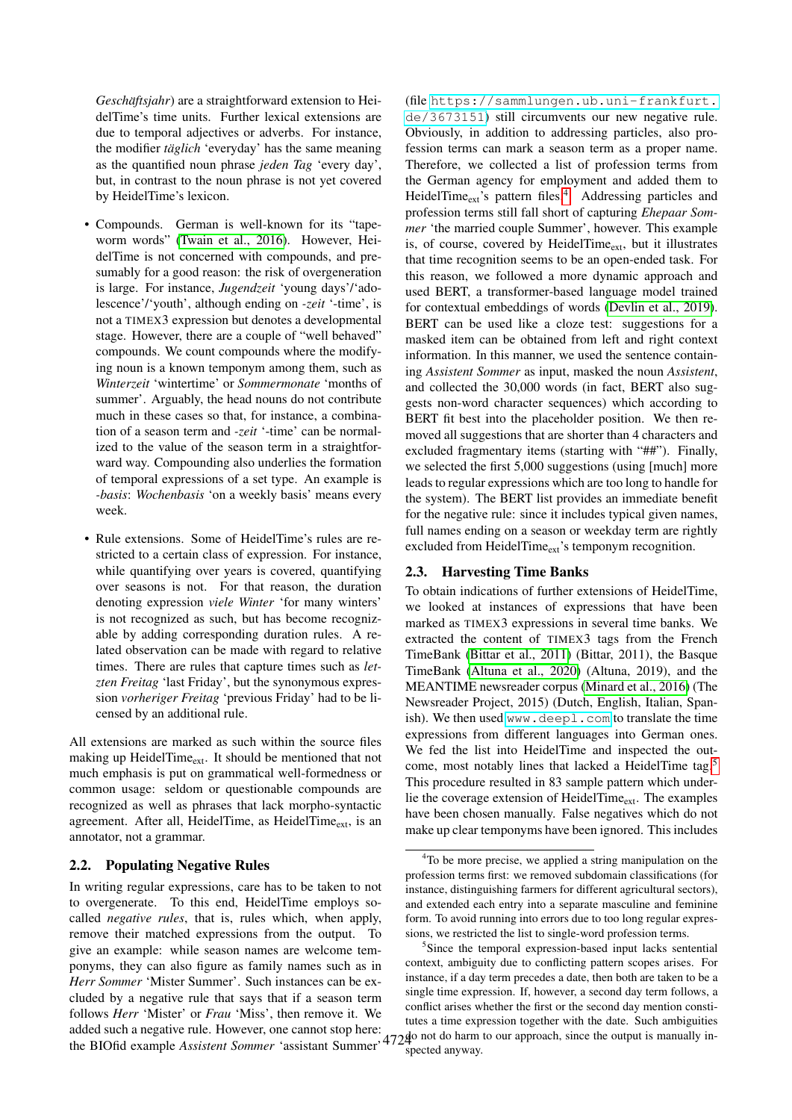*Geschäftsjahr*) are a straightforward extension to HeidelTime's time units. Further lexical extensions are due to temporal adjectives or adverbs. For instance, the modifier *täglich* 'everyday' has the same meaning as the quantified noun phrase *jeden Tag* 'every day', but, in contrast to the noun phrase is not yet covered by HeidelTime's lexicon.

- Compounds. German is well-known for its "tapeworm words" [\(Twain et al., 2016\)](#page-4-7). However, HeidelTime is not concerned with compounds, and presumably for a good reason: the risk of overgeneration is large. For instance, *Jugendzeit* 'young days'/'adolescence'/'youth', although ending on *-zeit* '-time', is not a TIMEX3 expression but denotes a developmental stage. However, there are a couple of "well behaved" compounds. We count compounds where the modifying noun is a known temponym among them, such as *Winterzeit* 'wintertime' or *Sommermonate* 'months of summer'. Arguably, the head nouns do not contribute much in these cases so that, for instance, a combination of a season term and *-zeit* '-time' can be normalized to the value of the season term in a straightforward way. Compounding also underlies the formation of temporal expressions of a set type. An example is *-basis*: *Wochenbasis* 'on a weekly basis' means every week.
- Rule extensions. Some of HeidelTime's rules are restricted to a certain class of expression. For instance, while quantifying over years is covered, quantifying over seasons is not. For that reason, the duration denoting expression *viele Winter* 'for many winters' is not recognized as such, but has become recognizable by adding corresponding duration rules. A related observation can be made with regard to relative times. There are rules that capture times such as *letzten Freitag* 'last Friday', but the synonymous expression *vorheriger Freitag* 'previous Friday' had to be licensed by an additional rule.

All extensions are marked as such within the source files making up HeidelTime<sub>ext</sub>. It should be mentioned that not much emphasis is put on grammatical well-formedness or common usage: seldom or questionable compounds are recognized as well as phrases that lack morpho-syntactic agreement. After all, HeidelTime, as HeidelTime<sub>ext</sub>, is an annotator, not a grammar.

### <span id="page-1-2"></span>2.2. Populating Negative Rules

added such a negative rule. However, one cannot stop here:<br>the BIOfid example *Assistent Sommer* 'assistant Summer'<sup>4724</sup> In writing regular expressions, care has to be taken to not to overgenerate. To this end, HeidelTime employs socalled *negative rules*, that is, rules which, when apply, remove their matched expressions from the output. To give an example: while season names are welcome temponyms, they can also figure as family names such as in *Herr Sommer* 'Mister Summer'. Such instances can be excluded by a negative rule that says that if a season term follows *Herr* 'Mister' or *Frau* 'Miss', then remove it. We added such a hegative rule. However, one cannot stop here.<br>the BIOfid example *Assistent Sommer* 'assistant Summer'<sup>4724</sup> spected anyway

(file [https://sammlungen.ub.uni-frankfurt.](https://sammlungen.ub.uni-frankfurt.de/3673151) [de/3673151](https://sammlungen.ub.uni-frankfurt.de/3673151)) still circumvents our new negative rule. Obviously, in addition to addressing particles, also profession terms can mark a season term as a proper name. Therefore, we collected a list of profession terms from the German agency for employment and added them to HeidelTime<sub>ext</sub>'s pattern files.<sup>[4](#page-1-0)</sup> Addressing particles and profession terms still fall short of capturing *Ehepaar Sommer* 'the married couple Summer', however. This example is, of course, covered by HeidelTime $_{ext}$ , but it illustrates that time recognition seems to be an open-ended task. For this reason, we followed a more dynamic approach and used BERT, a transformer-based language model trained for contextual embeddings of words [\(Devlin et al., 2019\)](#page-4-8). BERT can be used like a cloze test: suggestions for a masked item can be obtained from left and right context information. In this manner, we used the sentence containing *Assistent Sommer* as input, masked the noun *Assistent*, and collected the 30,000 words (in fact, BERT also suggests non-word character sequences) which according to BERT fit best into the placeholder position. We then removed all suggestions that are shorter than 4 characters and excluded fragmentary items (starting with "##"). Finally, we selected the first 5,000 suggestions (using [much] more leads to regular expressions which are too long to handle for the system). The BERT list provides an immediate benefit for the negative rule: since it includes typical given names, full names ending on a season or weekday term are rightly excluded from HeidelTime $_{ext}$ 's temponym recognition.

#### 2.3. Harvesting Time Banks

To obtain indications of further extensions of HeidelTime, we looked at instances of expressions that have been marked as TIMEX3 expressions in several time banks. We extracted the content of TIMEX3 tags from the French TimeBank [\(Bittar et al., 2011\)](#page-4-9) (Bittar, 2011), the Basque TimeBank [\(Altuna et al., 2020\)](#page-4-10) (Altuna, 2019), and the MEANTIME newsreader corpus [\(Minard et al., 2016\)](#page-4-11) (The Newsreader Project, 2015) (Dutch, English, Italian, Spanish). We then used <www.deepl.com> to translate the time expressions from different languages into German ones. We fed the list into HeidelTime and inspected the outcome, most notably lines that lacked a HeidelTime tag.[5](#page-1-1) This procedure resulted in 83 sample pattern which underlie the coverage extension of HeidelTime $_{ext}$ . The examples have been chosen manually. False negatives which do not make up clear temponyms have been ignored. This includes

<span id="page-1-0"></span><sup>&</sup>lt;sup>4</sup>To be more precise, we applied a string manipulation on the profession terms first: we removed subdomain classifications (for instance, distinguishing farmers for different agricultural sectors), and extended each entry into a separate masculine and feminine form. To avoid running into errors due to too long regular expressions, we restricted the list to single-word profession terms.

<span id="page-1-1"></span><sup>&</sup>lt;sup>5</sup>Since the temporal expression-based input lacks sentential context, ambiguity due to conflicting pattern scopes arises. For instance, if a day term precedes a date, then both are taken to be a single time expression. If, however, a second day term follows, a conflict arises whether the first or the second day mention constitutes a time expression together with the date. Such ambiguities spected anyway.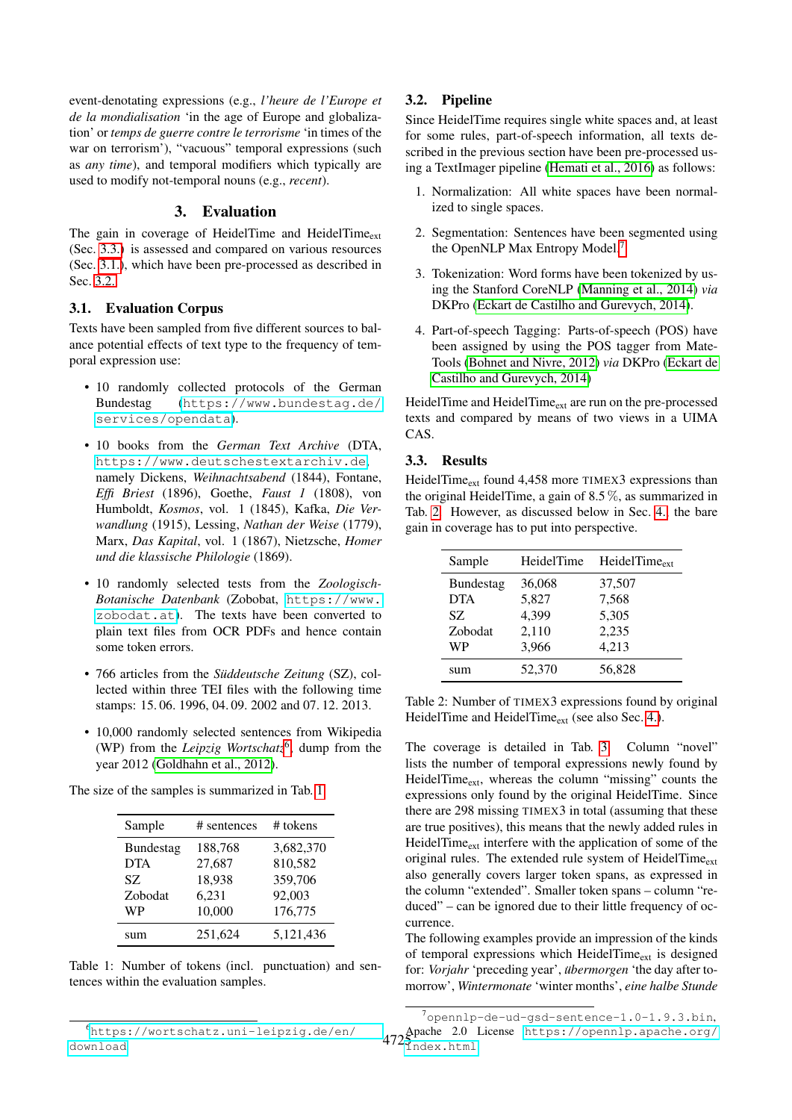event-denotating expressions (e.g., *l'heure de l'Europe et de la mondialisation* 'in the age of Europe and globalization' or *temps de guerre contre le terrorisme* 'in times of the war on terrorism'), "vacuous" temporal expressions (such as *any time*), and temporal modifiers which typically are used to modify not-temporal nouns (e.g., *recent*).

### 3. Evaluation

<span id="page-2-0"></span>The gain in coverage of HeidelTime and HeidelTime $_{ext}$ (Sec. [3.3.\)](#page-2-1) is assessed and compared on various resources (Sec. [3.1.\)](#page-2-2), which have been pre-processed as described in Sec. [3.2..](#page-2-3)

### <span id="page-2-2"></span>3.1. Evaluation Corpus

Texts have been sampled from five different sources to balance potential effects of text type to the frequency of temporal expression use:

- 10 randomly collected protocols of the German Bundestag ([https://www.bundestag.de/](https://www.bundestag.de/services/opendata) [services/opendata](https://www.bundestag.de/services/opendata)).
- 10 books from the *German Text Archive* (DTA, <https://www.deutschestextarchiv.de>, namely Dickens, *Weihnachtsabend* (1844), Fontane, *Effi Briest* (1896), Goethe, *Faust 1* (1808), von Humboldt, *Kosmos*, vol. 1 (1845), Kafka, *Die Verwandlung* (1915), Lessing, *Nathan der Weise* (1779), Marx, *Das Kapital*, vol. 1 (1867), Nietzsche, *Homer und die klassische Philologie* (1869).
- 10 randomly selected tests from the *Zoologisch-Botanische Datenbank* (Zobobat, [https://www.](https://www.zobodat.at) [zobodat.at](https://www.zobodat.at)). The texts have been converted to plain text files from OCR PDFs and hence contain some token errors.
- 766 articles from the *Süddeutsche Zeitung* (SZ), collected within three TEI files with the following time stamps: 15. 06. 1996, 04. 09. 2002 and 07. 12. 2013.
- 10,000 randomly selected sentences from Wikipedia (WP) from the *Leipzig Wortschatz*<sup>[6](#page-2-4)</sup>, dump from the year 2012 [\(Goldhahn et al., 2012\)](#page-4-12).

| Sample           | # sentences | $#$ tokens |
|------------------|-------------|------------|
| <b>Bundestag</b> | 188,768     | 3,682,370  |
| <b>DTA</b>       | 27,687      | 810,582    |
| SZ.              | 18,938      | 359,706    |
| Zobodat          | 6,231       | 92,003     |
| <b>WP</b>        | 10,000      | 176,775    |
| sum              | 251.624     | 5,121,436  |

The size of the samples is summarized in Tab. [1.](#page-2-5)

<span id="page-2-5"></span>Table 1: Number of tokens (incl. punctuation) and sentences within the evaluation samples.

# <span id="page-2-3"></span>3.2. Pipeline

Since HeidelTime requires single white spaces and, at least for some rules, part-of-speech information, all texts described in the previous section have been pre-processed using a TextImager pipeline [\(Hemati et al., 2016\)](#page-4-13) as follows:

- 1. Normalization: All white spaces have been normalized to single spaces.
- 2. Segmentation: Sentences have been segmented using the OpenNLP Max Entropy Model.[7](#page-2-6)
- 3. Tokenization: Word forms have been tokenized by using the Stanford CoreNLP [\(Manning et al., 2014\)](#page-4-14) *via* DKPro [\(Eckart de Castilho and Gurevych, 2014\)](#page-4-15).
- 4. Part-of-speech Tagging: Parts-of-speech (POS) have been assigned by using the POS tagger from Mate-Tools [\(Bohnet and Nivre, 2012\)](#page-4-16) *via* DKPro [\(Eckart de](#page-4-15) [Castilho and Gurevych, 2014\)](#page-4-15)

HeidelTime and HeidelTime<sub>ext</sub> are run on the pre-processed texts and compared by means of two views in a UIMA CAS.

### <span id="page-2-1"></span>3.3. Results

HeidelTime<sub>ext</sub> found  $4,458$  more TIMEX3 expressions than the original HeidelTime, a gain of 8.5 %, as summarized in Tab. [2.](#page-2-7) However, as discussed below in Sec. [4.,](#page-3-0) the bare gain in coverage has to put into perspective.

| Sample           | HeidelTime | $HeidelTime_{\text{ext}}$ |
|------------------|------------|---------------------------|
| <b>Bundestag</b> | 36,068     | 37,507                    |
| <b>DTA</b>       | 5,827      | 7,568                     |
| SZ.              | 4,399      | 5,305                     |
| Zobodat          | 2,110      | 2,235                     |
| WP               | 3,966      | 4,213                     |
| sum              | 52,370     | 56,828                    |

<span id="page-2-7"></span>Table 2: Number of TIMEX3 expressions found by original HeidelTime and HeidelTime<sub>ext</sub> (see also Sec. [4.\)](#page-3-0).

The coverage is detailed in Tab. [3.](#page-3-1) Column "novel" lists the number of temporal expressions newly found by HeidelTime<sub>ext</sub>, whereas the column "missing" counts the expressions only found by the original HeidelTime. Since there are 298 missing TIMEX3 in total (assuming that these are true positives), this means that the newly added rules in HeidelTime<sub>ext</sub> interfere with the application of some of the original rules. The extended rule system of HeidelTime $_{ext}$ also generally covers larger token spans, as expressed in the column "extended". Smaller token spans – column "reduced" – can be ignored due to their little frequency of occurrence.

The following examples provide an impression of the kinds of temporal expressions which HeidelTime $_{ext}$  is designed for: *Vorjahr* 'preceding year', *übermorgen* 'the day after tomorrow', *Wintermonate* 'winter months', *eine halbe Stunde*

<span id="page-2-4"></span><sup>6</sup>[https://wortschatz.uni-leipzig.de/en/](https://wortschatz.uni-leipzig.de/en/download) [download](https://wortschatz.uni-leipzig.de/en/download)

<span id="page-2-6"></span> $472\frac{\text{Apache}}{\text{index } \text{html}}$  2.0 License [https://opennlp.apache.org/](https://opennlp.apache.org/index.html) <sup>7</sup>opennlp-de-ud-gsd-sentence-1.0-1.9.3.bin,  $\texttt{Index.html}$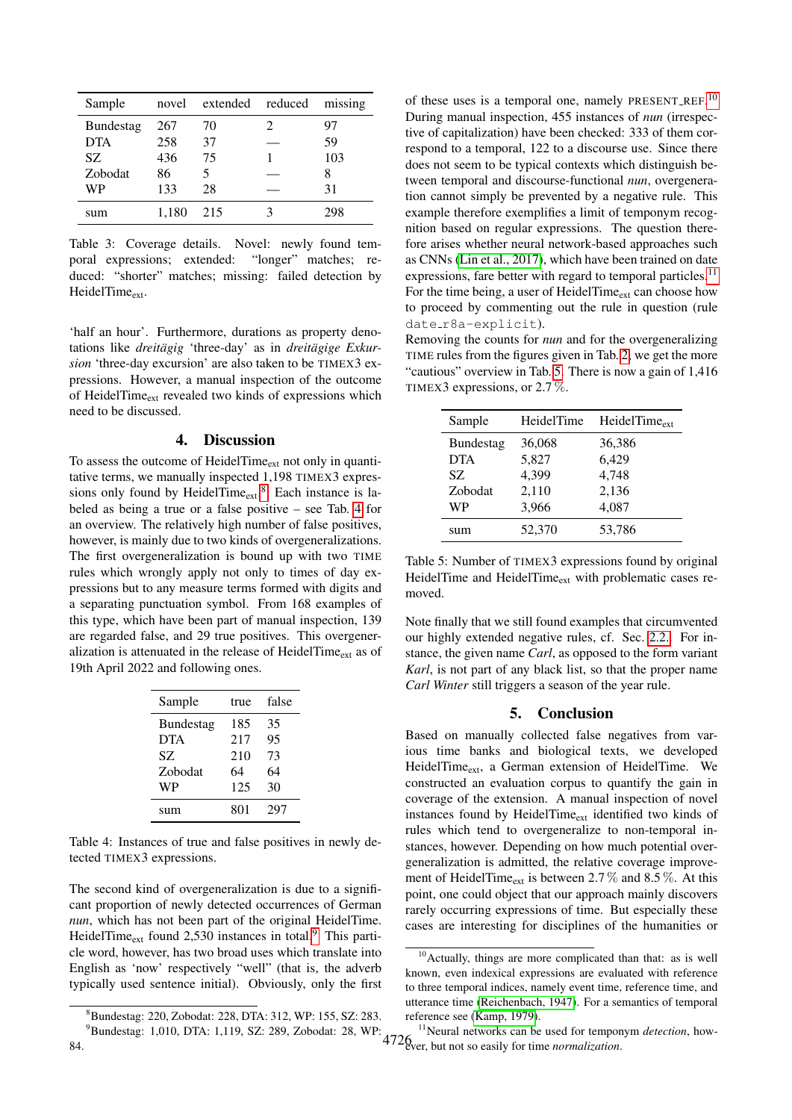| Sample           | novel | extended reduced |   | missing |
|------------------|-------|------------------|---|---------|
| <b>Bundestag</b> | 267   | 70               | 2 | 97      |
| <b>DTA</b>       | 258   | 37               |   | 59      |
| SZ.              | 436   | 75               |   | 103     |
| Zobodat          | 86    | 5                |   | 8       |
| WP               | 133   | 28               |   | 31      |
| sum              | 1.180 | 215              |   | ,98     |

<span id="page-3-1"></span>Table 3: Coverage details. Novel: newly found temporal expressions; extended: "longer" matches; reduced: "shorter" matches; missing: failed detection by HeidelTime<sub>ext</sub>.

'half an hour'. Furthermore, durations as property denotations like *dreitägig* 'three-day' as in *dreitägige Exkursion* 'three-day excursion' are also taken to be TIMEX3 expressions. However, a manual inspection of the outcome of HeidelTime<sub>ext</sub> revealed two kinds of expressions which need to be discussed.

#### 4. Discussion

<span id="page-3-0"></span>To assess the outcome of HeidelTime<sub>ext</sub> not only in quantitative terms, we manually inspected 1,198 TIMEX3 expressions only found by HeidelTime $_{ext}$ .<sup>[8](#page-3-2)</sup> Each instance is labeled as being a true or a false positive – see Tab. [4](#page-3-3) for an overview. The relatively high number of false positives, however, is mainly due to two kinds of overgeneralizations. The first overgeneralization is bound up with two TIME rules which wrongly apply not only to times of day expressions but to any measure terms formed with digits and a separating punctuation symbol. From 168 examples of this type, which have been part of manual inspection, 139 are regarded false, and 29 true positives. This overgeneralization is attenuated in the release of HeidelTime $_{ext}$  as of 19th April 2022 and following ones.

| Sample           | true | false |
|------------------|------|-------|
| <b>Bundestag</b> | 185  | 35    |
| <b>DTA</b>       | 217  | 95    |
| SZ.              | 210  | 73    |
| Zobodat          | 64   | 64    |
| WP               | 125  | 30    |
| sum              | 801  | 297   |

<span id="page-3-3"></span>Table 4: Instances of true and false positives in newly detected TIMEX3 expressions.

The second kind of overgeneralization is due to a significant proportion of newly detected occurrences of German *nun*, which has not been part of the original HeidelTime. HeidelTime<sub>ext</sub> found 2,530 instances in total.<sup>[9](#page-3-4)</sup> This particle word, however, has two broad uses which translate into English as 'now' respectively "well" (that is, the adverb typically used sentence initial). Obviously, only the first

of these uses is a temporal one, namely PRESENT\_REF.<sup>[10](#page-3-5)</sup> During manual inspection, 455 instances of *nun* (irrespective of capitalization) have been checked: 333 of them correspond to a temporal, 122 to a discourse use. Since there does not seem to be typical contexts which distinguish between temporal and discourse-functional *nun*, overgeneration cannot simply be prevented by a negative rule. This example therefore exemplifies a limit of temponym recognition based on regular expressions. The question therefore arises whether neural network-based approaches such as CNNs [\(Lin et al., 2017\)](#page-4-17), which have been trained on date expressions, fare better with regard to temporal particles.<sup>[11](#page-3-6)</sup> For the time being, a user of HeidelTime<sub>ext</sub> can choose how to proceed by commenting out the rule in question (rule date\_r8a-explicit).

Removing the counts for *nun* and for the overgeneralizing TIME rules from the figures given in Tab. [2,](#page-2-7) we get the more "cautious" overview in Tab. [5.](#page-3-7) There is now a gain of 1,416 TIMEX3 expressions, or 2.7 %.

| Sample           | HeidelTime | HeidelTime <sub>ext</sub> |
|------------------|------------|---------------------------|
| <b>Bundestag</b> | 36,068     | 36,386                    |
| <b>DTA</b>       | 5,827      | 6,429                     |
| SZ.              | 4,399      | 4,748                     |
| Zobodat          | 2,110      | 2,136                     |
| WP               | 3,966      | 4,087                     |
| sum              | 52,370     | 53,786                    |

<span id="page-3-7"></span>Table 5: Number of TIMEX3 expressions found by original HeidelTime and HeidelTime<sub>ext</sub> with problematic cases removed.

Note finally that we still found examples that circumvented our highly extended negative rules, cf. Sec. [2.2..](#page-1-2) For instance, the given name *Carl*, as opposed to the form variant *Karl*, is not part of any black list, so that the proper name *Carl Winter* still triggers a season of the year rule.

### 5. Conclusion

Based on manually collected false negatives from various time banks and biological texts, we developed HeidelTime<sub>ext</sub>, a German extension of HeidelTime. We constructed an evaluation corpus to quantify the gain in coverage of the extension. A manual inspection of novel instances found by HeidelTime<sub>ext</sub> identified two kinds of rules which tend to overgeneralize to non-temporal instances, however. Depending on how much potential overgeneralization is admitted, the relative coverage improvement of HeidelTime<sub>ext</sub> is between 2.7  $\%$  and 8.5  $\%$ . At this point, one could object that our approach mainly discovers rarely occurring expressions of time. But especially these cases are interesting for disciplines of the humanities or

<span id="page-3-4"></span><span id="page-3-2"></span><sup>8</sup>Bundestag: 220, Zobodat: 228, DTA: 312, WP: 155, SZ: 283.

<sup>&</sup>lt;sup>9</sup>Bundestag: 1,010, DTA: 1,119, SZ: 289, Zobodat: 28, WP: 84.

<span id="page-3-5"></span><sup>&</sup>lt;sup>10</sup>Actually, things are more complicated than that: as is well known, even indexical expressions are evaluated with reference to three temporal indices, namely event time, reference time, and utterance time [\(Reichenbach, 1947\)](#page-4-18). For a semantics of temporal reference see [\(Kamp, 1979\)](#page-4-19).

<span id="page-3-6"></span><sup>4726</sup> <sup>11</sup>Neural networks can be used for temponym *detection*, however, but not so easily for time *normalization*.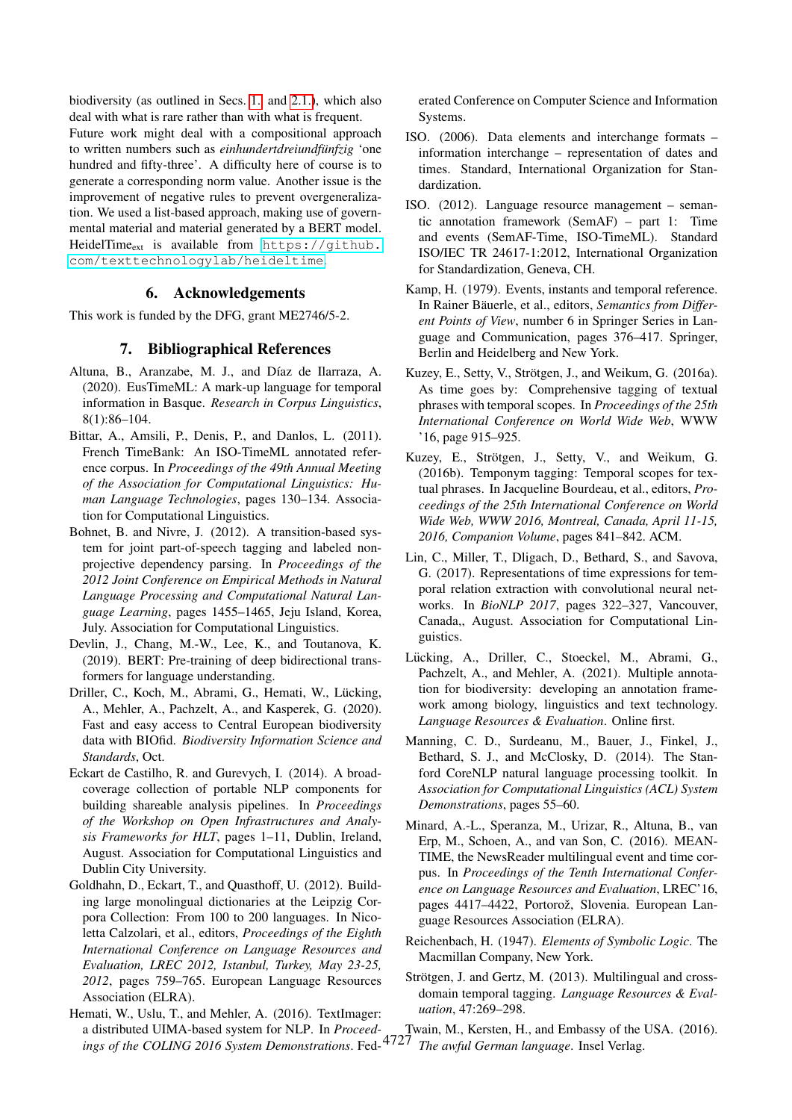biodiversity (as outlined in Secs. [1.](#page-0-4) and [2.1.\)](#page-0-5), which also deal with what is rare rather than with what is frequent. Future work might deal with a compositional approach to written numbers such as *einhundertdreiundfunfzig ¨* 'one hundred and fifty-three'. A difficulty here of course is to generate a corresponding norm value. Another issue is the improvement of negative rules to prevent overgeneralization. We used a list-based approach, making use of governmental material and material generated by a BERT model. HeidelTime<sub>ext</sub> is available from  $https://github.com/2015n10016.$  $https://github.com/2015n10016.$ [com/texttechnologylab/heideltime](https://github.com/texttechnologylab/heideltime).

### 6. Acknowledgements

This work is funded by the DFG, grant ME2746/5-2.

#### 7. Bibliographical References

- <span id="page-4-10"></span>Altuna, B., Aranzabe, M. J., and Díaz de Ilarraza, A. (2020). EusTimeML: A mark-up language for temporal information in Basque. *Research in Corpus Linguistics*, 8(1):86–104.
- <span id="page-4-9"></span>Bittar, A., Amsili, P., Denis, P., and Danlos, L. (2011). French TimeBank: An ISO-TimeML annotated reference corpus. In *Proceedings of the 49th Annual Meeting of the Association for Computational Linguistics: Human Language Technologies*, pages 130–134. Association for Computational Linguistics.
- <span id="page-4-16"></span>Bohnet, B. and Nivre, J. (2012). A transition-based system for joint part-of-speech tagging and labeled nonprojective dependency parsing. In *Proceedings of the 2012 Joint Conference on Empirical Methods in Natural Language Processing and Computational Natural Language Learning*, pages 1455–1465, Jeju Island, Korea, July. Association for Computational Linguistics.
- <span id="page-4-8"></span>Devlin, J., Chang, M.-W., Lee, K., and Toutanova, K. (2019). BERT: Pre-training of deep bidirectional transformers for language understanding.
- <span id="page-4-0"></span>Driller, C., Koch, M., Abrami, G., Hemati, W., Lücking, A., Mehler, A., Pachzelt, A., and Kasperek, G. (2020). Fast and easy access to Central European biodiversity data with BIOfid. *Biodiversity Information Science and Standards*, Oct.
- <span id="page-4-15"></span>Eckart de Castilho, R. and Gurevych, I. (2014). A broadcoverage collection of portable NLP components for building shareable analysis pipelines. In *Proceedings of the Workshop on Open Infrastructures and Analysis Frameworks for HLT*, pages 1–11, Dublin, Ireland, August. Association for Computational Linguistics and Dublin City University.
- <span id="page-4-12"></span>Goldhahn, D., Eckart, T., and Quasthoff, U. (2012). Building large monolingual dictionaries at the Leipzig Corpora Collection: From 100 to 200 languages. In Nicoletta Calzolari, et al., editors, *Proceedings of the Eighth International Conference on Language Resources and Evaluation, LREC 2012, Istanbul, Turkey, May 23-25, 2012*, pages 759–765. European Language Resources Association (ELRA).
- <span id="page-4-13"></span>4727 *ings of the COLING 2016 System Demonstrations*. Fed-Hemati, W., Uslu, T., and Mehler, A. (2016). TextImager: a distributed UIMA-based system for NLP. In *Proceed-*

erated Conference on Computer Science and Information Systems.

- <span id="page-4-6"></span>ISO. (2006). Data elements and interchange formats – information interchange – representation of dates and times. Standard, International Organization for Standardization.
- <span id="page-4-5"></span>ISO. (2012). Language resource management – semantic annotation framework (SemAF) – part 1: Time and events (SemAF-Time, ISO-TimeML). Standard ISO/IEC TR 24617-1:2012, International Organization for Standardization, Geneva, CH.
- <span id="page-4-19"></span>Kamp, H. (1979). Events, instants and temporal reference. In Rainer Bäuerle, et al., editors, Semantics from Differ*ent Points of View*, number 6 in Springer Series in Language and Communication, pages 376–417. Springer, Berlin and Heidelberg and New York.
- <span id="page-4-1"></span>Kuzey, E., Setty, V., Strötgen, J., and Weikum, G. (2016a). As time goes by: Comprehensive tagging of textual phrases with temporal scopes. In *Proceedings of the 25th International Conference on World Wide Web*, WWW '16, page 915–925.
- <span id="page-4-2"></span>Kuzey, E., Strötgen, J., Setty, V., and Weikum, G. (2016b). Temponym tagging: Temporal scopes for textual phrases. In Jacqueline Bourdeau, et al., editors, *Proceedings of the 25th International Conference on World Wide Web, WWW 2016, Montreal, Canada, April 11-15, 2016, Companion Volume*, pages 841–842. ACM.
- <span id="page-4-17"></span>Lin, C., Miller, T., Dligach, D., Bethard, S., and Savova, G. (2017). Representations of time expressions for temporal relation extraction with convolutional neural networks. In *BioNLP 2017*, pages 322–327, Vancouver, Canada,, August. Association for Computational Linguistics.
- <span id="page-4-4"></span>Lücking, A., Driller, C., Stoeckel, M., Abrami, G., Pachzelt, A., and Mehler, A. (2021). Multiple annotation for biodiversity: developing an annotation framework among biology, linguistics and text technology. *Language Resources & Evaluation*. Online first.
- <span id="page-4-14"></span>Manning, C. D., Surdeanu, M., Bauer, J., Finkel, J., Bethard, S. J., and McClosky, D. (2014). The Stanford CoreNLP natural language processing toolkit. In *Association for Computational Linguistics (ACL) System Demonstrations*, pages 55–60.
- <span id="page-4-11"></span>Minard, A.-L., Speranza, M., Urizar, R., Altuna, B., van Erp, M., Schoen, A., and van Son, C. (2016). MEAN-TIME, the NewsReader multilingual event and time corpus. In *Proceedings of the Tenth International Conference on Language Resources and Evaluation*, LREC'16, pages 4417–4422, Portorož, Slovenia. European Language Resources Association (ELRA).
- <span id="page-4-18"></span>Reichenbach, H. (1947). *Elements of Symbolic Logic*. The Macmillan Company, New York.
- <span id="page-4-7"></span><span id="page-4-3"></span>Strötgen, J. and Gertz, M. (2013). Multilingual and crossdomain temporal tagging. *Language Resources & Evaluation*, 47:269–298.

Twain, M., Kersten, H., and Embassy of the USA. (2016). *The awful German language*. Insel Verlag.